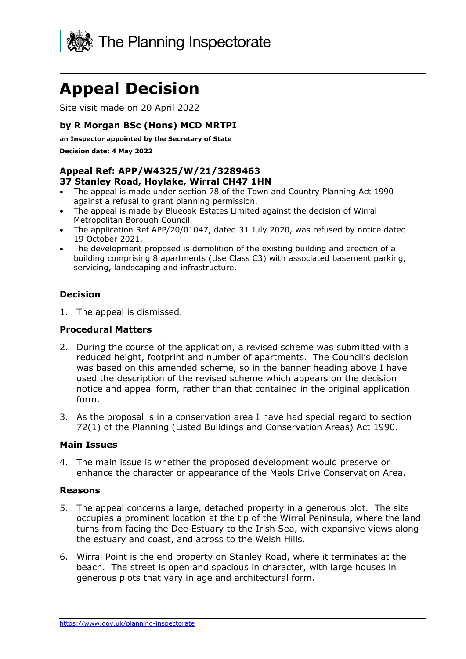

# **Appeal Decision**

Site visit made on 20 April 2022

#### **by R Morgan BSc (Hons) MCD MRTPI**

**an Inspector appointed by the Secretary of State** 

**Decision date: 4 May 2022**

## **Appeal Ref: APP/W4325/W/21/3289463**

#### **37 Stanley Road, Hoylake, Wirral CH47 1HN**

- The appeal is made under section 78 of the Town and Country Planning Act 1990 against a refusal to grant planning permission.
- The appeal is made by Blueoak Estates Limited against the decision of Wirral Metropolitan Borough Council.
- The application Ref APP/20/01047, dated 31 July 2020, was refused by notice dated 19 October 2021.
- The development proposed is demolition of the existing building and erection of a building comprising 8 apartments (Use Class C3) with associated basement parking, servicing, landscaping and infrastructure.

#### **Decision**

1. The appeal is dismissed.

#### **Procedural Matters**

- 2. During the course of the application, a revised scheme was submitted with a reduced height, footprint and number of apartments. The Council's decision was based on this amended scheme, so in the banner heading above I have used the description of the revised scheme which appears on the decision notice and appeal form, rather than that contained in the original application form.
- 3. As the proposal is in a conservation area I have had special regard to section 72(1) of the Planning (Listed Buildings and Conservation Areas) Act 1990.

#### **Main Issues**

4. The main issue is whether the proposed development would preserve or enhance the character or appearance of the Meols Drive Conservation Area.

#### **Reasons**

- 5. The appeal concerns a large, detached property in a generous plot. The site occupies a prominent location at the tip of the Wirral Peninsula, where the land turns from facing the Dee Estuary to the Irish Sea, with expansive views along the estuary and coast, and across to the Welsh Hills.
- 6. Wirral Point is the end property on Stanley Road, where it terminates at the beach. The street is open and spacious in character, with large houses in generous plots that vary in age and architectural form.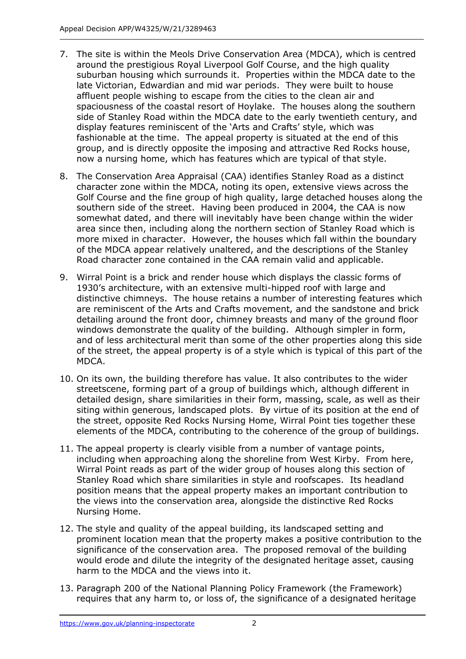- 7. The site is within the Meols Drive Conservation Area (MDCA), which is centred around the prestigious Royal Liverpool Golf Course, and the high quality suburban housing which surrounds it. Properties within the MDCA date to the late Victorian, Edwardian and mid war periods. They were built to house affluent people wishing to escape from the cities to the clean air and spaciousness of the coastal resort of Hoylake. The houses along the southern side of Stanley Road within the MDCA date to the early twentieth century, and display features reminiscent of the 'Arts and Crafts' style, which was fashionable at the time. The appeal property is situated at the end of this group, and is directly opposite the imposing and attractive Red Rocks house, now a nursing home, which has features which are typical of that style.
- 8. The Conservation Area Appraisal (CAA) identifies Stanley Road as a distinct character zone within the MDCA, noting its open, extensive views across the Golf Course and the fine group of high quality, large detached houses along the southern side of the street. Having been produced in 2004, the CAA is now somewhat dated, and there will inevitably have been change within the wider area since then, including along the northern section of Stanley Road which is more mixed in character. However, the houses which fall within the boundary of the MDCA appear relatively unaltered, and the descriptions of the Stanley Road character zone contained in the CAA remain valid and applicable.
- 9. Wirral Point is a brick and render house which displays the classic forms of 1930's architecture, with an extensive multi-hipped roof with large and distinctive chimneys. The house retains a number of interesting features which are reminiscent of the Arts and Crafts movement, and the sandstone and brick detailing around the front door, chimney breasts and many of the ground floor windows demonstrate the quality of the building. Although simpler in form, and of less architectural merit than some of the other properties along this side of the street, the appeal property is of a style which is typical of this part of the MDCA.
- 10. On its own, the building therefore has value. It also contributes to the wider streetscene, forming part of a group of buildings which, although different in detailed design, share similarities in their form, massing, scale, as well as their siting within generous, landscaped plots. By virtue of its position at the end of the street, opposite Red Rocks Nursing Home, Wirral Point ties together these elements of the MDCA, contributing to the coherence of the group of buildings.
- 11. The appeal property is clearly visible from a number of vantage points, including when approaching along the shoreline from West Kirby. From here, Wirral Point reads as part of the wider group of houses along this section of Stanley Road which share similarities in style and roofscapes. Its headland position means that the appeal property makes an important contribution to the views into the conservation area, alongside the distinctive Red Rocks Nursing Home.
- 12. The style and quality of the appeal building, its landscaped setting and prominent location mean that the property makes a positive contribution to the significance of the conservation area. The proposed removal of the building would erode and dilute the integrity of the designated heritage asset, causing harm to the MDCA and the views into it.
- 13. Paragraph 200 of the National Planning Policy Framework (the Framework) requires that any harm to, or loss of, the significance of a designated heritage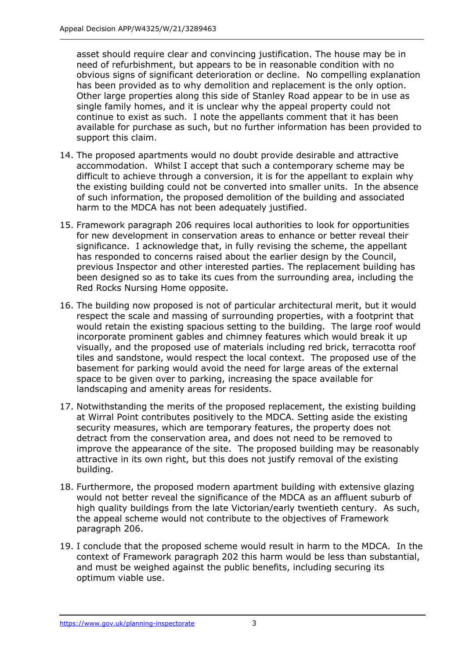asset should require clear and convincing justification. The house may be in need of refurbishment, but appears to be in reasonable condition with no obvious signs of significant deterioration or decline. No compelling explanation has been provided as to why demolition and replacement is the only option. Other large properties along this side of Stanley Road appear to be in use as single family homes, and it is unclear why the appeal property could not continue to exist as such. I note the appellants comment that it has been available for purchase as such, but no further information has been provided to support this claim.

- 14. The proposed apartments would no doubt provide desirable and attractive accommodation. Whilst I accept that such a contemporary scheme may be difficult to achieve through a conversion, it is for the appellant to explain why the existing building could not be converted into smaller units. In the absence of such information, the proposed demolition of the building and associated harm to the MDCA has not been adequately justified.
- 15. Framework paragraph 206 requires local authorities to look for opportunities for new development in conservation areas to enhance or better reveal their significance. I acknowledge that, in fully revising the scheme, the appellant has responded to concerns raised about the earlier design by the Council, previous Inspector and other interested parties. The replacement building has been designed so as to take its cues from the surrounding area, including the Red Rocks Nursing Home opposite.
- 16. The building now proposed is not of particular architectural merit, but it would respect the scale and massing of surrounding properties, with a footprint that would retain the existing spacious setting to the building. The large roof would incorporate prominent gables and chimney features which would break it up visually, and the proposed use of materials including red brick, terracotta roof tiles and sandstone, would respect the local context. The proposed use of the basement for parking would avoid the need for large areas of the external space to be given over to parking, increasing the space available for landscaping and amenity areas for residents.
- 17. Notwithstanding the merits of the proposed replacement, the existing building at Wirral Point contributes positively to the MDCA. Setting aside the existing security measures, which are temporary features, the property does not detract from the conservation area, and does not need to be removed to improve the appearance of the site. The proposed building may be reasonably attractive in its own right, but this does not justify removal of the existing building.
- 18. Furthermore, the proposed modern apartment building with extensive glazing would not better reveal the significance of the MDCA as an affluent suburb of high quality buildings from the late Victorian/early twentieth century. As such, the appeal scheme would not contribute to the objectives of Framework paragraph 206.
- 19. I conclude that the proposed scheme would result in harm to the MDCA. In the context of Framework paragraph 202 this harm would be less than substantial, and must be weighed against the public benefits, including securing its optimum viable use.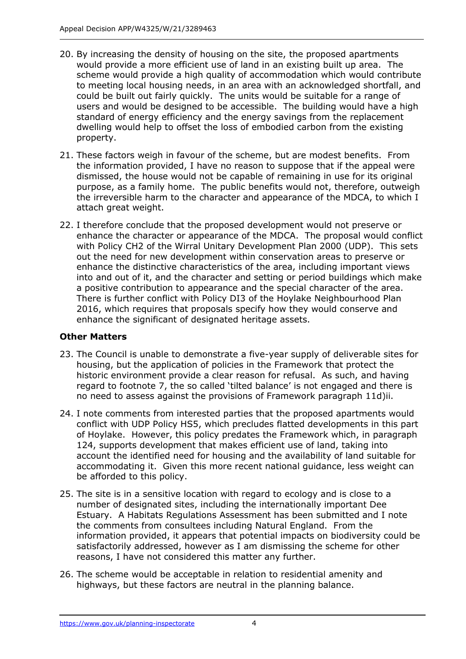- 20. By increasing the density of housing on the site, the proposed apartments would provide a more efficient use of land in an existing built up area. The scheme would provide a high quality of accommodation which would contribute to meeting local housing needs, in an area with an acknowledged shortfall, and could be built out fairly quickly. The units would be suitable for a range of users and would be designed to be accessible. The building would have a high standard of energy efficiency and the energy savings from the replacement dwelling would help to offset the loss of embodied carbon from the existing property.
- 21. These factors weigh in favour of the scheme, but are modest benefits. From the information provided, I have no reason to suppose that if the appeal were dismissed, the house would not be capable of remaining in use for its original purpose, as a family home. The public benefits would not, therefore, outweigh the irreversible harm to the character and appearance of the MDCA, to which I attach great weight.
- 22. I therefore conclude that the proposed development would not preserve or enhance the character or appearance of the MDCA. The proposal would conflict with Policy CH2 of the Wirral Unitary Development Plan 2000 (UDP). This sets out the need for new development within conservation areas to preserve or enhance the distinctive characteristics of the area, including important views into and out of it, and the character and setting or period buildings which make a positive contribution to appearance and the special character of the area. There is further conflict with Policy DI3 of the Hoylake Neighbourhood Plan 2016, which requires that proposals specify how they would conserve and enhance the significant of designated heritage assets.

#### **Other Matters**

- 23. The Council is unable to demonstrate a five-year supply of deliverable sites for housing, but the application of policies in the Framework that protect the historic environment provide a clear reason for refusal. As such, and having regard to footnote 7, the so called 'tilted balance' is not engaged and there is no need to assess against the provisions of Framework paragraph 11d)ii.
- 24. I note comments from interested parties that the proposed apartments would conflict with UDP Policy HS5, which precludes flatted developments in this part of Hoylake. However, this policy predates the Framework which, in paragraph 124, supports development that makes efficient use of land, taking into account the identified need for housing and the availability of land suitable for accommodating it. Given this more recent national guidance, less weight can be afforded to this policy.
- 25. The site is in a sensitive location with regard to ecology and is close to a number of designated sites, including the internationally important Dee Estuary. A Habitats Regulations Assessment has been submitted and I note the comments from consultees including Natural England. From the information provided, it appears that potential impacts on biodiversity could be satisfactorily addressed, however as I am dismissing the scheme for other reasons, I have not considered this matter any further.
- 26. The scheme would be acceptable in relation to residential amenity and highways, but these factors are neutral in the planning balance.